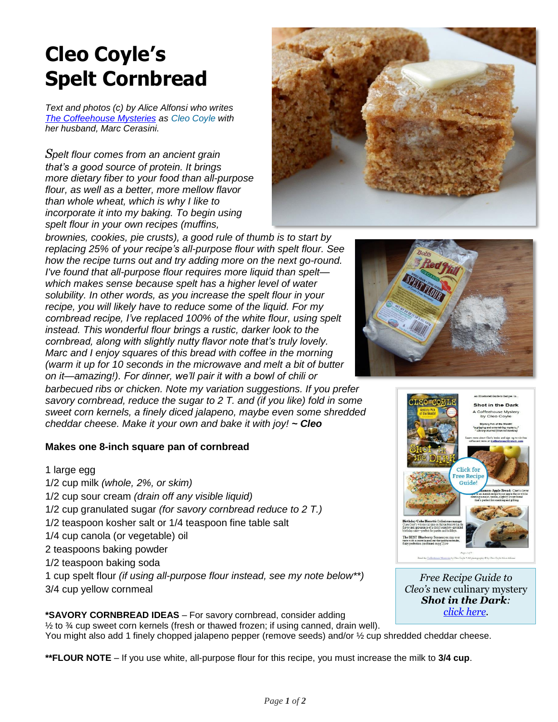## **Cleo Coyle's Spelt Cornbread**

*Text and photos (c) by Alice Alfonsi who writes The [Coffeehouse Mysteries](http://www.coffeehousemystery.com/about_coffeehouse_mystery_books.cfm) as Cleo [Coyle](http://www.cleocoylerecipes.com/p/about_7.html) with her husband, Marc Cerasini.*

*Spelt flour comes from an ancient grain that's a good source of protein. It brings more dietary fiber to your food than all-purpose flour, as well as a better, more mellow flavor than whole wheat, which is why I like to incorporate it into my baking. To begin using spelt flour in your own recipes (muffins,* 



*brownies, cookies, pie crusts), a good rule of thumb is to start by replacing 25% of your recipe's all-purpose flour with spelt flour. See how the recipe turns out and try adding more on the next go-round. I've found that all-purpose flour requires more liquid than spelt which makes sense because spelt has a higher level of water solubility. In other words, as you increase the spelt flour in your recipe, you will likely have to reduce some of the liquid. For my cornbread recipe, I've replaced 100% of the white flour, using spelt instead. This wonderful flour brings a rustic, darker look to the cornbread, along with slightly nutty flavor note that's truly lovely. Marc and I enjoy squares of this bread with coffee in the morning (warm it up for 10 seconds in the microwave and melt a bit of butter on it—amazing!). For dinner, we'll pair it with a bowl of chili or* 

*barbecued ribs or chicken. Note my variation suggestions. If you prefer savory cornbread, reduce the sugar to 2 T. and (if you like) fold in some sweet corn kernels, a finely diced jalapeno, maybe even some shredded cheddar cheese. Make it your own and bake it with joy! ~ Cleo*

## **Makes one 8-inch square pan of cornbread**

1 large egg 1/2 cup milk *(whole, 2%, or skim)* 1/2 cup sour cream *(drain off any visible liquid)* 1/2 cup granulated sugar *(for savory cornbread reduce to 2 T.)* 1/2 teaspoon kosher salt or 1/4 teaspoon fine table salt 1/4 cup canola (or vegetable) oil 2 teaspoons baking powder 1/2 teaspoon baking soda 1 cup spelt flour *(if using all-purpose flour instead, see my note below\*\*)* 3/4 cup yellow cornmeal

**\*SAVORY CORNBREAD IDEAS** – For savory cornbread, consider adding ½ to ¾ cup sweet corn kernels (fresh or thawed frozen; if using canned, drain well). You might also add 1 finely chopped jalapeno pepper (remove seeds) and/or 1/2 cup shredded cheddar cheese.

**\*\*FLOUR NOTE** – If you use white, all-purpose flour for this recipe, you must increase the milk to **3/4 cup**.





*Free Recipe Guide to Cleo's* new culinary mystery *Shot in the Dark: [click here.](http://www.coffeehousemystery.com/userfiles/file/Shot-in-the-Dark-Recipes-CleoCoyle.pdf)*